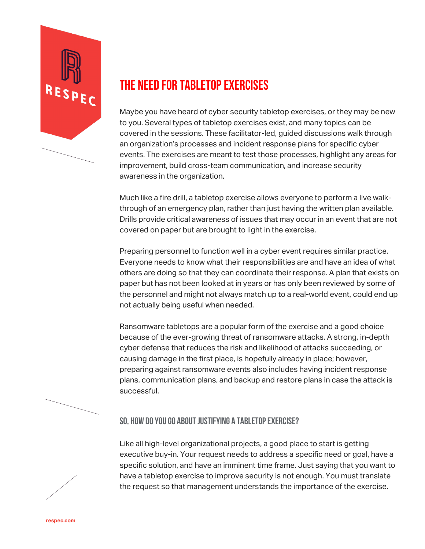

## THE NEED FOR TABLETOP EXERCISES

Maybe you have heard of cyber security tabletop exercises, or they may be new to you. Several types of tabletop exercises exist, and many topics can be covered in the sessions. These facilitator-led, guided discussions walk through an organization's processes and incident response plans for specific cyber events. The exercises are meant to test those processes, highlight any areas for improvement, build cross-team communication, and increase security awareness in the organization.

Much like a fire drill, a tabletop exercise allows everyone to perform a live walkthrough of an emergency plan, rather than just having the written plan available. Drills provide critical awareness of issues that may occur in an event that are not covered on paper but are brought to light in the exercise.

Preparing personnel to function well in a cyber event requires similar practice. Everyone needs to know what their responsibilities are and have an idea of what others are doing so that they can coordinate their response. A plan that exists on paper but has not been looked at in years or has only been reviewed by some of the personnel and might not always match up to a real-world event, could end up not actually being useful when needed.

Ransomware tabletops are a popular form of the exercise and a good choice because of the ever-growing threat of ransomware attacks. A strong, in-depth cyber defense that reduces the risk and likelihood of attacks succeeding, or causing damage in the first place, is hopefully already in place; however, preparing against ransomware events also includes having incident response plans, communication plans, and backup and restore plans in case the attack is successful.

## **So, how do you go about justifying a tabletop exercise?**

Like all high-level organizational projects, a good place to start is getting executive buy-in. Your request needs to address a specific need or goal, have a specific solution, and have an imminent time frame. Just saying that you want to have a tabletop exercise to improve security is not enough. You must translate the request so that management understands the importance of the exercise.

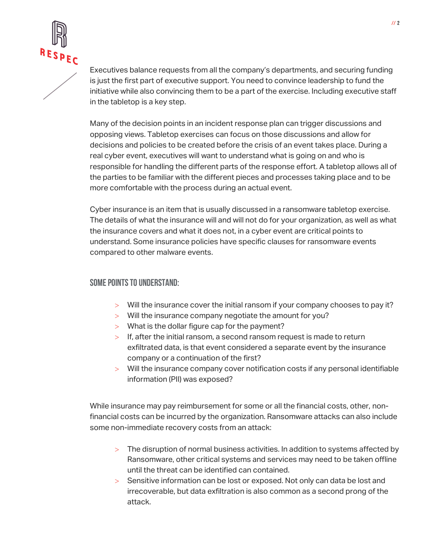

Executives balance requests from all the company's departments, and securing funding is just the first part of executive support. You need to convince leadership to fund the initiative while also convincing them to be a part of the exercise. Including executive staff in the tabletop is a key step.

Many of the decision points in an incident response plan can trigger discussions and opposing views. Tabletop exercises can focus on those discussions and allow for decisions and policies to be created before the crisis of an event takes place. During a real cyber event, executives will want to understand what is going on and who is responsible for handling the different parts of the response effort. A tabletop allows all of the parties to be familiar with the different pieces and processes taking place and to be more comfortable with the process during an actual event.

Cyber insurance is an item that is usually discussed in a ransomware tabletop exercise. The details of what the insurance will and will not do for your organization, as well as what the insurance covers and what it does not, in a cyber event are critical points to understand. Some insurance policies have specific clauses for ransomware events compared to other malware events.

## **Some points to understand:**

- > Will the insurance cover the initial ransom if your company chooses to pay it?
- > Will the insurance company negotiate the amount for you?
- > What is the dollar figure cap for the payment?
- > If, after the initial ransom, a second ransom request is made to return exfiltrated data, is that event considered a separate event by the insurance company or a continuation of the first?
- > Will the insurance company cover notification costs if any personal identifiable information (PII) was exposed?

While insurance may pay reimbursement for some or all the financial costs, other, nonfinancial costs can be incurred by the organization. Ransomware attacks can also include some non-immediate recovery costs from an attack:

- > The disruption of normal business activities. In addition to systems affected by Ransomware, other critical systems and services may need to be taken offline until the threat can be identified can contained.
- > Sensitive information can be lost or exposed. Not only can data be lost and irrecoverable, but data exfiltration is also common as a second prong of the attack.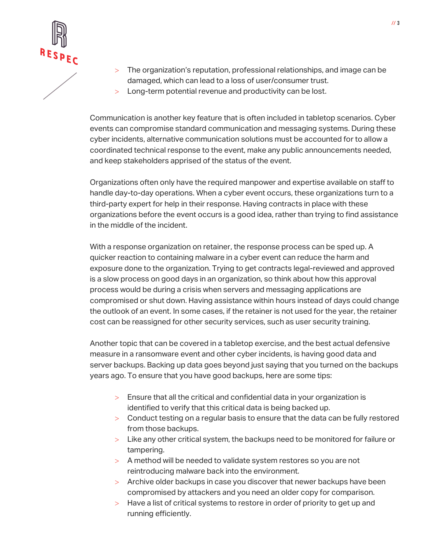

- > The organization's reputation, professional relationships, and image can be damaged, which can lead to a loss of user/consumer trust.
- > Long-term potential revenue and productivity can be lost.

Communication is another key feature that is often included in tabletop scenarios. Cyber events can compromise standard communication and messaging systems. During these cyber incidents, alternative communication solutions must be accounted for to allow a coordinated technical response to the event, make any public announcements needed, and keep stakeholders apprised of the status of the event.

Organizations often only have the required manpower and expertise available on staff to handle day-to-day operations. When a cyber event occurs, these organizations turn to a third-party expert for help in their response. Having contracts in place with these organizations before the event occurs is a good idea, rather than trying to find assistance in the middle of the incident.

With a response organization on retainer, the response process can be sped up. A quicker reaction to containing malware in a cyber event can reduce the harm and exposure done to the organization. Trying to get contracts legal-reviewed and approved is a slow process on good days in an organization, so think about how this approval process would be during a crisis when servers and messaging applications are compromised or shut down. Having assistance within hours instead of days could change the outlook of an event. In some cases, if the retainer is not used for the year, the retainer cost can be reassigned for other security services, such as user security training.

Another topic that can be covered in a tabletop exercise, and the best actual defensive measure in a ransomware event and other cyber incidents, is having good data and server backups. Backing up data goes beyond just saying that you turned on the backups years ago. To ensure that you have good backups, here are some tips:

- > Ensure that all the critical and confidential data in your organization is identified to verify that this critical data is being backed up.
- > Conduct testing on a regular basis to ensure that the data can be fully restored from those backups.
- > Like any other critical system, the backups need to be monitored for failure or tampering.
- > A method will be needed to validate system restores so you are not reintroducing malware back into the environment.
- > Archive older backups in case you discover that newer backups have been compromised by attackers and you need an older copy for comparison.
- > Have a list of critical systems to restore in order of priority to get up and running efficiently.